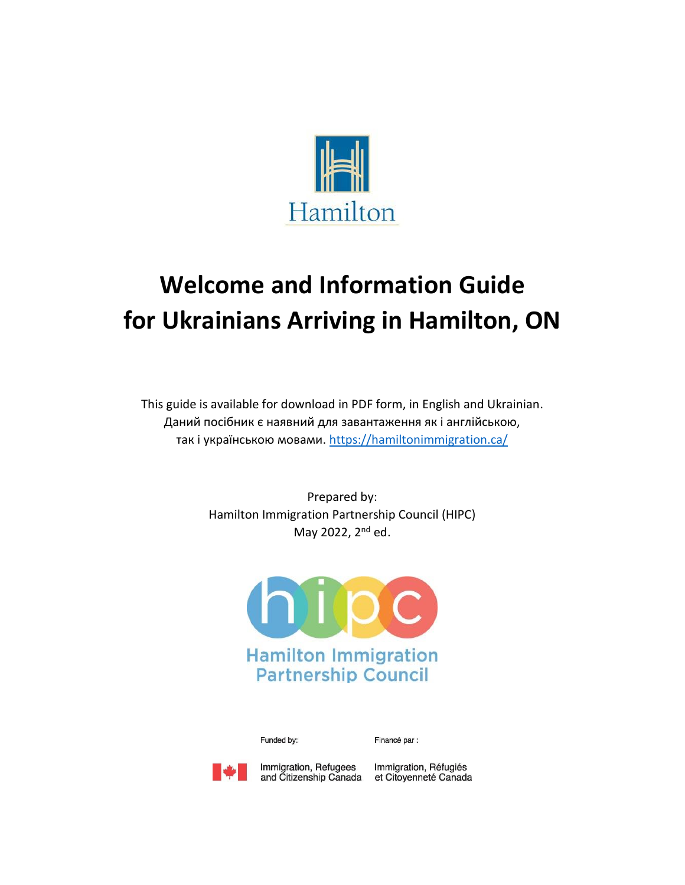

# **Welcome and Information Guide for Ukrainians Arriving in Hamilton, ON**

This guide is available for download in PDF form, in English and Ukrainian. Даний посібник є наявний для завантаження як і англійською, так і українською мовами. <https://hamiltonimmigration.ca/>

> Prepared by: Hamilton Immigration Partnership Council (HIPC) May 2022, 2<sup>nd</sup> ed.



Funded by:

Financé par :



Immigration, Refugees and Citizenship Canada et Citoyenneté Canada

Immigration, Réfugiés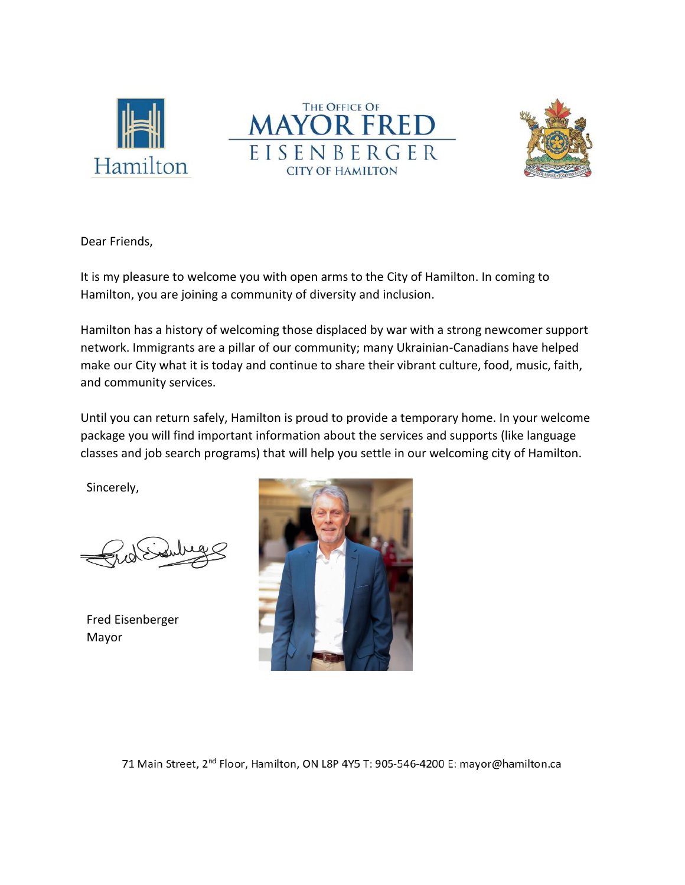





Dear Friends,

It is my pleasure to welcome you with open arms to the City of Hamilton. In coming to Hamilton, you are joining a community of diversity and inclusion.

Hamilton has a history of welcoming those displaced by war with a strong newcomer support network. Immigrants are a pillar of our community; many Ukrainian-Canadians have helped make our City what it is today and continue to share their vibrant culture, food, music, faith, and community services.

Until you can return safely, Hamilton is proud to provide a temporary home. In your welcome package you will find important information about the services and supports (like language classes and job search programs) that will help you settle in our welcoming city of Hamilton.

Sincerely,

Fred Eisenberger Mayor



71 Main Street, 2<sup>nd</sup> Floor, Hamilton, ON L8P 4Y5 T: 905-546-4200 E: mayor@hamilton.ca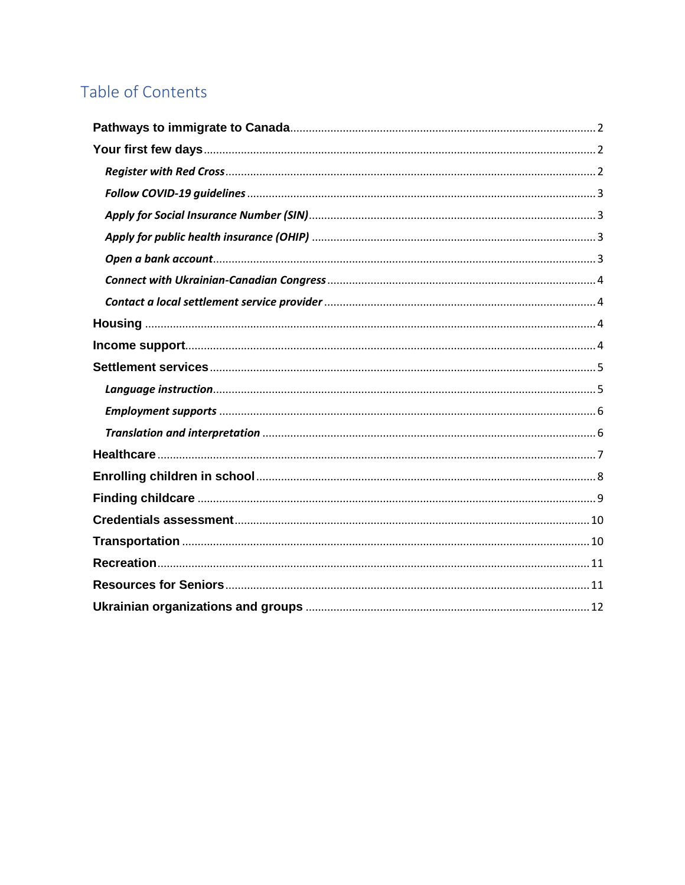## Table of Contents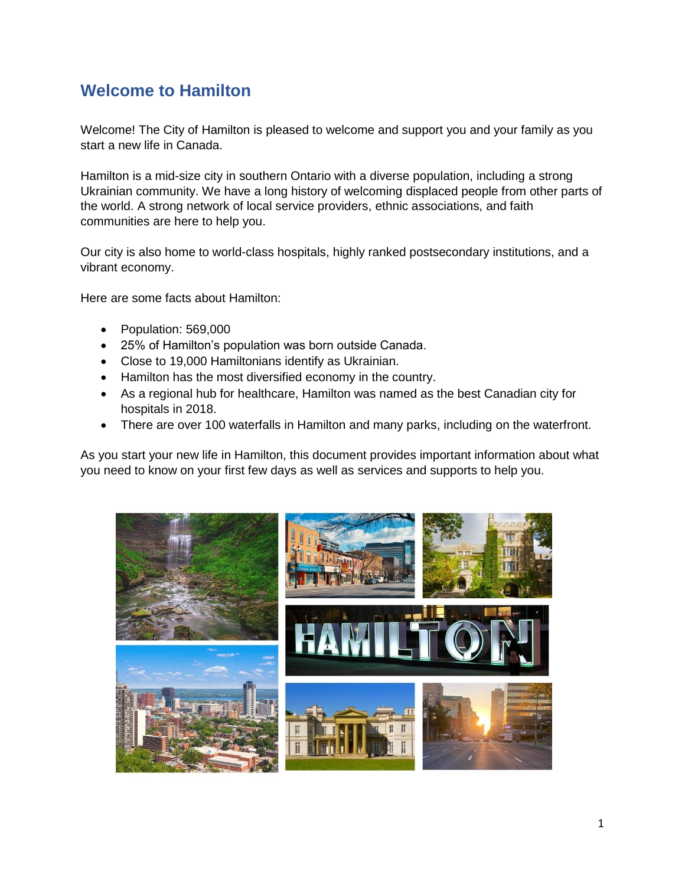### **Welcome to Hamilton**

Welcome! The City of Hamilton is pleased to welcome and support you and your family as you start a new life in Canada.

Hamilton is a mid-size city in southern Ontario with a diverse population, including a strong Ukrainian community. We have a long history of welcoming displaced people from other parts of the world. A strong network of local service providers, ethnic associations, and faith communities are here to help you.

Our city is also home to world-class hospitals, highly ranked postsecondary institutions, and a vibrant economy.

Here are some facts about Hamilton:

- Population: 569,000
- 25% of Hamilton's population was born outside Canada.
- Close to 19,000 Hamiltonians identify as Ukrainian.
- Hamilton has the most diversified economy in the country.
- As a regional hub for healthcare, Hamilton was named as the best Canadian city for hospitals in 2018.
- There are over 100 waterfalls in Hamilton and many parks, including on the waterfront.

As you start your new life in Hamilton, this document provides important information about what you need to know on your first few days as well as services and supports to help you.

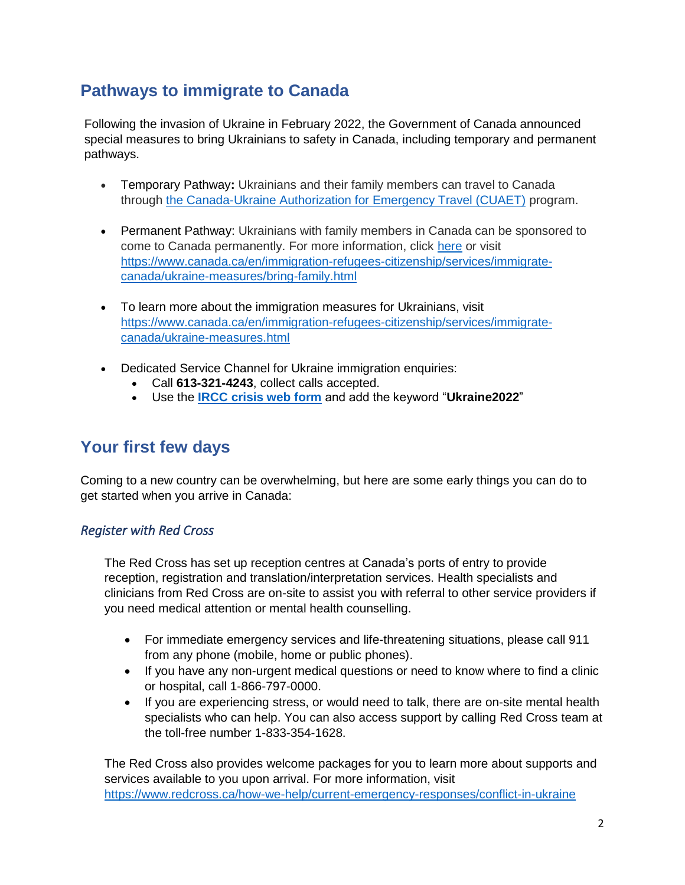### <span id="page-4-0"></span>**Pathways to immigrate to Canada**

Following the invasion of Ukraine in February 2022, the Government of Canada announced special measures to bring Ukrainians to safety in Canada, including temporary and permanent pathways.

- Temporary Pathway**:** Ukrainians and their family members can travel to Canada through [the Canada-Ukraine Authorization for Emergency Travel \(CUAET\)](https://www.canada.ca/en/immigration-refugees-citizenship/news/2022/03/canada-launches-new-temporary-residence-pathway-to-welcome-those-fleeing-the-war-in-ukraine.html) program.
- Permanent Pathway: Ukrainians with family members in Canada can be sponsored to come to Canada permanently. For more information, click [here](https://www.canada.ca/en/immigration-refugees-citizenship/services/immigrate-canada/ukraine-measures/bring-family.html) or visit [https://www.canada.ca/en/immigration-refugees-citizenship/services/immigrate](https://www.canada.ca/en/immigration-refugees-citizenship/services/immigrate-canada/ukraine-measures/bring-family.html)[canada/ukraine-measures/bring-family.html](https://www.canada.ca/en/immigration-refugees-citizenship/services/immigrate-canada/ukraine-measures/bring-family.html)
- To learn more about the immigration measures for Ukrainians, visit [https://www.canada.ca/en/immigration-refugees-citizenship/services/immigrate](https://www.canada.ca/en/immigration-refugees-citizenship/services/immigrate-canada/ukraine-measures.html)[canada/ukraine-measures.html](https://www.canada.ca/en/immigration-refugees-citizenship/services/immigrate-canada/ukraine-measures.html)
- Dedicated Service Channel for Ukraine immigration enquiries:
	- Call **613-321-4243**, collect calls accepted.
	- Use the **[IRCC crisis web form](https://response.s1dl.com/mailresponse.asp?tid=c32b97d5-de6f-42b1-b249-629570fb7d62&em=0eb7635a-b71c-43f0-87bb-74f0273f2b13&turl=https://secure.cic.gc.ca/ClientContact/en/Crisis)** and add the keyword "**Ukraine2022**"

### <span id="page-4-1"></span>**Your first few days**

Coming to a new country can be overwhelming, but here are some early things you can do to get started when you arrive in Canada:

#### <span id="page-4-2"></span>*Register with Red Cross*

The Red Cross has set up reception centres at Canada's ports of entry to provide reception, registration and translation/interpretation services. Health specialists and clinicians from Red Cross are on-site to assist you with referral to other service providers if you need medical attention or mental health counselling.

- For immediate emergency services and life-threatening situations, please call 911 from any phone (mobile, home or public phones).
- If you have any non-urgent medical questions or need to know where to find a clinic or hospital, call 1-866-797-0000.
- If you are experiencing stress, or would need to talk, there are on-site mental health specialists who can help. You can also access support by calling Red Cross team at the toll-free number 1-833-354-1628.

The Red Cross also provides welcome packages for you to learn more about supports and services available to you upon arrival. For more information, visit <https://www.redcross.ca/how-we-help/current-emergency-responses/conflict-in-ukraine>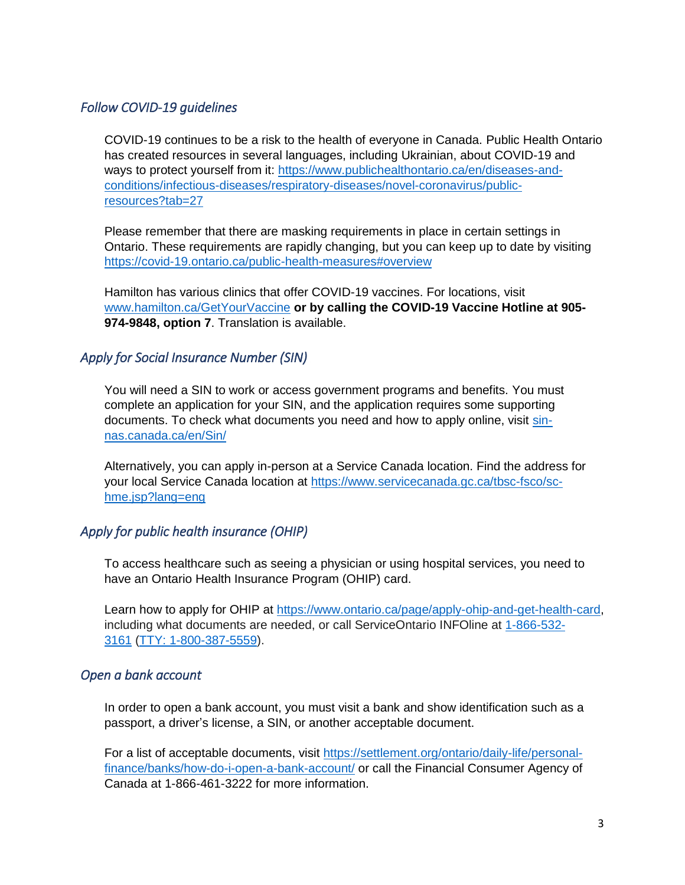#### <span id="page-5-0"></span>*Follow COVID-19 guidelines*

COVID-19 continues to be a risk to the health of everyone in Canada. Public Health Ontario has created resources in several languages, including Ukrainian, about COVID-19 and ways to protect yourself from it: [https://www.publichealthontario.ca/en/diseases-and](https://www.publichealthontario.ca/en/diseases-and-conditions/infectious-diseases/respiratory-diseases/novel-coronavirus/public-resources?tab=27)[conditions/infectious-diseases/respiratory-diseases/novel-coronavirus/public](https://www.publichealthontario.ca/en/diseases-and-conditions/infectious-diseases/respiratory-diseases/novel-coronavirus/public-resources?tab=27)[resources?tab=27](https://www.publichealthontario.ca/en/diseases-and-conditions/infectious-diseases/respiratory-diseases/novel-coronavirus/public-resources?tab=27)

Please remember that there are masking requirements in place in certain settings in Ontario. These requirements are rapidly changing, but you can keep up to date by visiting <https://covid-19.ontario.ca/public-health-measures#overview>

Hamilton has various clinics that offer COVID-19 vaccines. For locations, visit [www.hamilton.ca/GetYourVaccine](http://www.hamilton.ca/GetYourVaccine) **or by calling the COVID-19 Vaccine Hotline at 905- 974-9848, option 7**. Translation is available.

#### <span id="page-5-1"></span>*Apply for Social Insurance Number (SIN)*

You will need a SIN to work or access government programs and benefits. You must complete an application for your SIN, and the application requires some supporting documents. To check what documents you need and how to apply online, visit [sin](https://sin-nas.canada.ca/en/Sin/)[nas.canada.ca/en/Sin/](https://sin-nas.canada.ca/en/Sin/)

Alternatively, you can apply in-person at a Service Canada location. Find the address for your local Service Canada location at [https://www.servicecanada.gc.ca/tbsc-fsco/sc](https://www.servicecanada.gc.ca/tbsc-fsco/sc-hme.jsp?lang=eng)[hme.jsp?lang=eng](https://www.servicecanada.gc.ca/tbsc-fsco/sc-hme.jsp?lang=eng) 

#### <span id="page-5-2"></span>*Apply for public health insurance (OHIP)*

To access healthcare such as seeing a physician or using hospital services, you need to have an Ontario Health Insurance Program (OHIP) card.

Learn how to apply for OHIP at [https://www.ontario.ca/page/apply-ohip-and-get-health-card,](https://www.ontario.ca/page/apply-ohip-and-get-health-card) including what documents are needed, or call ServiceOntario INFOline at [1-866-532-](tel:+18665323161) [3161](tel:+18665323161) [\(TTY: 1-800-387-5559\)](tel:+18003875559).

#### <span id="page-5-3"></span>*Open a bank account*

In order to open a bank account, you must visit a bank and show identification such as a passport, a driver's license, a SIN, or another acceptable document.

For a list of acceptable documents, visit [https://settlement.org/ontario/daily-life/personal](https://settlement.org/ontario/daily-life/personal-finance/banks/how-do-i-open-a-bank-account/)[finance/banks/how-do-i-open-a-bank-account/](https://settlement.org/ontario/daily-life/personal-finance/banks/how-do-i-open-a-bank-account/) or call the Financial Consumer Agency of Canada at 1-866-461-3222 for more information.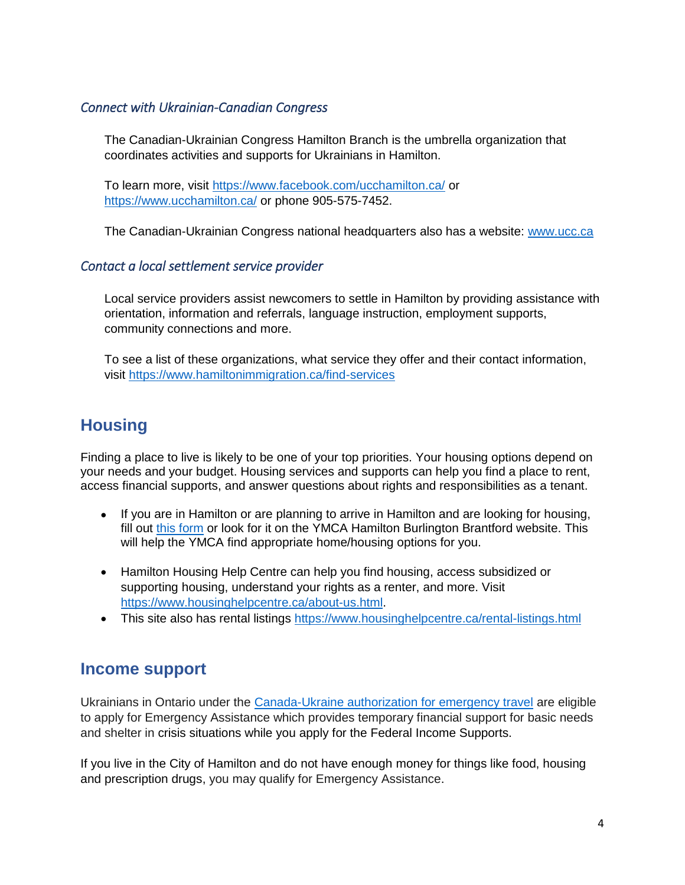#### <span id="page-6-0"></span>*Connect with Ukrainian-Canadian Congress*

The Canadian-Ukrainian Congress Hamilton Branch is the umbrella organization that coordinates activities and supports for Ukrainians in Hamilton.

To learn more, visit<https://www.facebook.com/ucchamilton.ca/> or <https://www.ucchamilton.ca/> or phone 905-575-7452.

The Canadian-Ukrainian Congress national headquarters also has a website: [www.ucc.ca](http://www.ucc.ca/)

#### <span id="page-6-1"></span>*Contact a local settlement service provider*

Local service providers assist newcomers to settle in Hamilton by providing assistance with orientation, information and referrals, language instruction, employment supports, community connections and more.

To see a list of these organizations, what service they offer and their contact information, visit<https://www.hamiltonimmigration.ca/find-services>

### <span id="page-6-2"></span>**Housing**

Finding a place to live is likely to be one of your top priorities. Your housing options depend on your needs and your budget. Housing services and supports can help you find a place to rent, access financial supports, and answer questions about rights and responsibilities as a tenant.

- If you are in Hamilton or are planning to arrive in Hamilton and are looking for housing, fill out this [form](https://forms.office.com/r/520stHMGRT) or look for it on the YMCA Hamilton Burlington Brantford website. This will help the YMCA find appropriate home/housing options for you.
- Hamilton Housing Help Centre can help you find housing, access subsidized or supporting housing, understand your rights as a renter, and more. Visit [https://www.housinghelpcentre.ca/about-us.html.](https://www.housinghelpcentre.ca/about-us.html)
- This site also has rental listings<https://www.housinghelpcentre.ca/rental-listings.html>

### <span id="page-6-3"></span>**Income support**

Ukrainians in Ontario under the [Canada-Ukraine authorization for emergency travel](https://www.canada.ca/en/immigration-refugees-citizenship/services/immigrate-canada/ukraine-measures/cuaet.html) are eligible to apply for Emergency Assistance which provides temporary financial support for basic needs and shelter in crisis situations while you apply for the Federal Income Supports.

If you live in the City of Hamilton and do not have enough money for things like food, housing and prescription drugs, you may qualify for Emergency Assistance.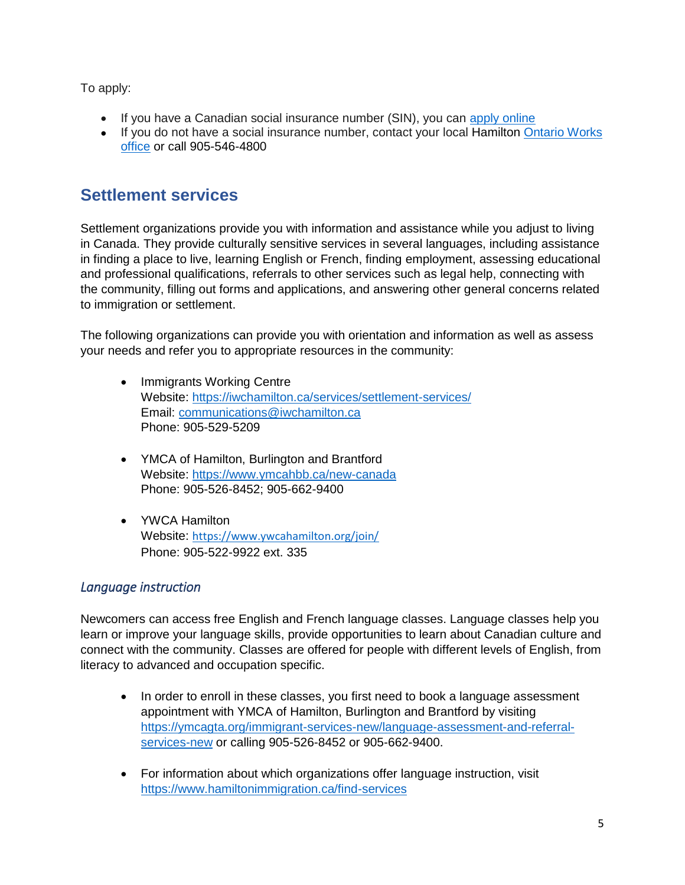To apply:

- If you have a Canadian social insurance number (SIN), you can [apply online](https://ea.mcss.gov.on.ca/)
- If you do not have a social insurance number, contact your local Hamilton Ontario Works [office](http://www.officelocator.mcss.gov.on.ca/?lang=en) or call 905-546-4800

### <span id="page-7-0"></span>**Settlement services**

Settlement organizations provide you with information and assistance while you adjust to living in Canada. They provide culturally sensitive services in several languages, including assistance in finding a place to live, learning English or French, finding employment, assessing educational and professional qualifications, referrals to other services such as legal help, connecting with the community, filling out forms and applications, and answering other general concerns related to immigration or settlement.

The following organizations can provide you with orientation and information as well as assess your needs and refer you to appropriate resources in the community:

- Immigrants Working Centre Website:<https://iwchamilton.ca/services/settlement-services/> Email: [communications@iwchamilton.ca](mailto:communications@iwchamilton.ca) Phone: 905-529-5209
- YMCA of Hamilton, Burlington and Brantford Website:<https://www.ymcahbb.ca/new-canada> Phone: 905-526-8452; 905-662-9400
- YWCA Hamilton Website: <https://www.ywcahamilton.org/join/> Phone: 905-522-9922 ext. 335

#### <span id="page-7-1"></span>*Language instruction*

Newcomers can access free English and French language classes. Language classes help you learn or improve your language skills, provide opportunities to learn about Canadian culture and connect with the community. Classes are offered for people with different levels of English, from literacy to advanced and occupation specific.

- In order to enroll in these classes, you first need to book a language assessment appointment with YMCA of Hamilton, Burlington and Brantford by visiting [https://ymcagta.org/immigrant-services-new/language-assessment-and-referral](https://ymcagta.org/immigrant-services-new/language-assessment-and-referral-services-new)[services-new](https://ymcagta.org/immigrant-services-new/language-assessment-and-referral-services-new) or calling 905-526-8452 or 905-662-9400.
- For information about which organizations offer language instruction, visit <https://www.hamiltonimmigration.ca/find-services>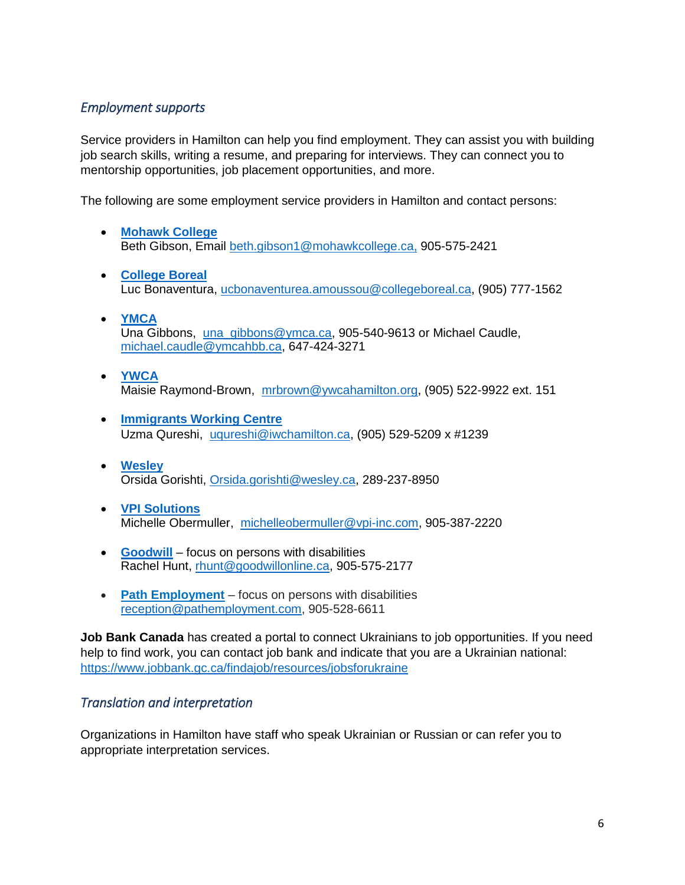#### <span id="page-8-0"></span>*Employment supports*

Service providers in Hamilton can help you find employment. They can assist you with building job search skills, writing a resume, and preparing for interviews. They can connect you to mentorship opportunities, job placement opportunities, and more.

The following are some employment service providers in Hamilton and contact persons:

- **[Mohawk College](https://www.mohawkcollege.ca/community-employment-services)** Beth Gibson, Email [beth.gibson1@mohawkcollege.ca,](mailto:beth.gibson1@mohawkcollege.ca) 905-575-2421
- **[College Boreal](https://www.collegeboreal.ca/en/our-campus/our-locations/access-centres-hamilton)** Luc Bonaventura, [ucbonaventurea.amoussou@collegeboreal.ca,](mailto:ucbonaventurea.amoussou@collegeboreal.ca) (905) 777-1562
- **[YMCA](https://www.ymcahbb.ca/locations/ymca-employment-services-hamilton)** Una Gibbons, [una\\_gibbons@ymca.ca,](mailto:una_gibbons@ymca.ca) 905-540-9613 or Michael Caudle, [michael.caudle@ymcahbb.ca,](mailto:michael.caudle@ymcahbb.ca) 647-424-3271
- **[YWCA](https://www.ywcahamilton.org/join/employment-services/)** Maisie Raymond-Brown, [mrbrown@ywcahamilton.org,](mailto:mrbrown@ywcahamilton.org) (905) 522-9922 ext. 151
- **[Immigrants Working Centre](https://iwchamilton.ca/services/employment-services/)** Uzma Qureshi, [uqureshi@iwchamilton.ca,](mailto:uqureshi@iwchamilton.ca) (905) 529-5209 x #1239
- **[Wesley](https://wesley.ca/program/employment-services/)** Orsida Gorishti, [Orsida.gorishti@wesley.ca,](mailto:Orsida.gorishti@wesley.ca) 289-237-8950
- **[VPI Solutions](https://www.vpi-inc.com/)** Michelle Obermuller, [michelleobermuller@vpi-inc.com,](mailto:michelleobermuller@vpi-inc.com) 905-387-2220
- **[Goodwill](https://goodwillonline.ca/)** focus on persons with disabilities Rachel Hunt, [rhunt@goodwillonline.ca,](mailto:rhunt@goodwillonline.ca) 905-575-2177
- **[Path Employment](http://www.pathemployment.com/)** focus on persons with disabilities [reception@pathemployment.com,](mailto:reception@pathemployment.com) 905-528-6611

**Job Bank Canada** has created a portal to connect Ukrainians to job opportunities. If you need help to find work, you can contact job bank and indicate that you are a Ukrainian national: <https://www.jobbank.gc.ca/findajob/resources/jobsforukraine>

#### <span id="page-8-1"></span>*Translation and interpretation*

Organizations in Hamilton have staff who speak Ukrainian or Russian or can refer you to appropriate interpretation services.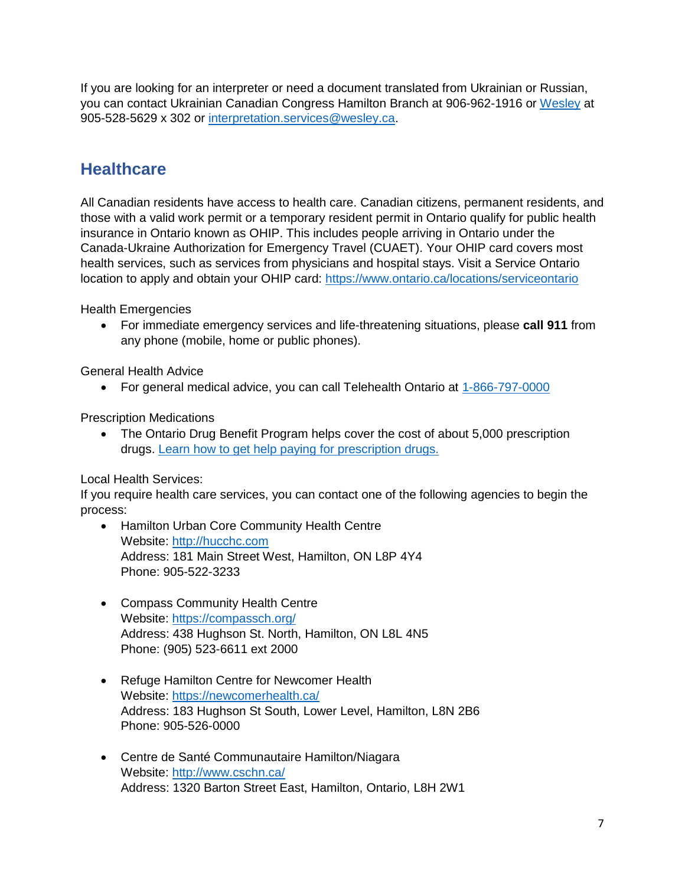If you are looking for an interpreter or need a document translated from Ukrainian or Russian, you can contact Ukrainian Canadian Congress Hamilton Branch at 906-962-1916 or [Wesley](mailto:Wesley) at 905-528-5629 x 302 or [interpretation.services@wesley.ca.](mailto:interpretation.services@wesley.ca)

### <span id="page-9-0"></span>**Healthcare**

All Canadian residents have access to health care. Canadian citizens, permanent residents, and those with a valid work permit or a temporary resident permit in Ontario qualify for public health insurance in Ontario known as OHIP. This includes people arriving in Ontario under the Canada-Ukraine Authorization for Emergency Travel (CUAET). Your OHIP card covers most health services, such as services from physicians and hospital stays. Visit a Service Ontario location to apply and obtain your OHIP card:<https://www.ontario.ca/locations/serviceontario>

Health Emergencies

• For immediate emergency services and life-threatening situations, please **call 911** from any phone (mobile, home or public phones).

General Health Advice

• For general medical advice, you can call Telehealth Ontario at [1-866-797-0000](tel:+18667970000)

Prescription Medications

• The Ontario Drug Benefit Program helps cover the cost of about 5,000 prescription drugs. [Learn how to get help paying for prescription drugs.](https://www.ontario.ca/page/get-coverage-prescription-drugs)

Local Health Services:

If you require health care services, you can contact one of the following agencies to begin the process:

- Hamilton Urban Core Community Health Centre Website: [http://hucchc.com](http://hucchc.com/) Address: 181 Main Street West, Hamilton, ON L8P 4Y4 Phone: 905-522-3233
- Compass Community Health Centre Website:<https://compassch.org/> Address: 438 Hughson St. North, Hamilton, ON L8L 4N5 Phone: (905) 523-6611 ext 2000
- Refuge Hamilton Centre for Newcomer Health Website:<https://newcomerhealth.ca/> Address: 183 Hughson St South, Lower Level, Hamilton, L8N 2B6 Phone: 905-526-0000
- Centre de Santé Communautaire Hamilton/Niagara Website:<http://www.cschn.ca/> Address: 1320 Barton Street East, Hamilton, Ontario, L8H 2W1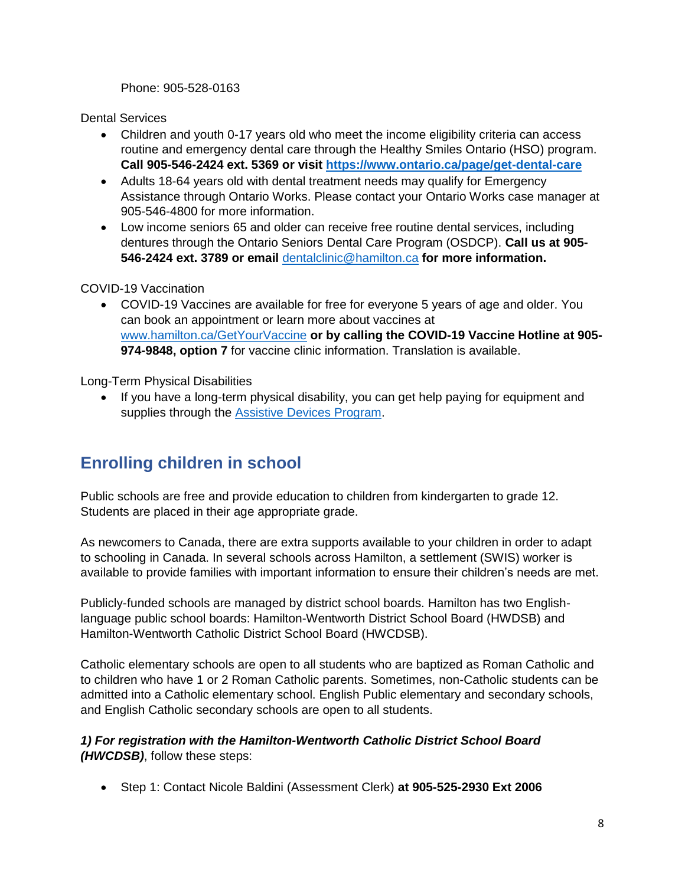Phone: 905-528-0163

Dental Services

- Children and youth 0-17 years old who meet the income eligibility criteria can access routine and emergency dental care through the Healthy Smiles Ontario (HSO) program. **Call 905-546-2424 ext. 5369 or visit<https://www.ontario.ca/page/get-dental-care>**
- Adults 18-64 years old with dental treatment needs may qualify for Emergency Assistance through Ontario Works. Please contact your Ontario Works case manager at 905-546-4800 for more information.
- Low income seniors 65 and older can receive free routine dental services, including dentures through the Ontario Seniors Dental Care Program (OSDCP). **Call us at 905- 546-2424 ext. 3789 or email** [dentalclinic@hamilton.ca](mailto:dentalclinic@hamilton.ca) **for more information.**

#### COVID-19 Vaccination

• COVID-19 Vaccines are available for free for everyone 5 years of age and older. You can book an appointment or learn more about vaccines at [www.hamilton.ca/GetYourVaccine](http://www.hamilton.ca/GetYourVaccine) **or by calling the COVID-19 Vaccine Hotline at 905- 974-9848, option 7** for vaccine clinic information. Translation is available.

Long-Term Physical Disabilities

• If you have a long-term physical disability, you can get help paying for equipment and supplies through the [Assistive Devices Program.](https://www.ontario.ca/page/assistive-devices-program)

### <span id="page-10-0"></span>**Enrolling children in school**

Public schools are free and provide education to children from kindergarten to grade 12. Students are placed in their age appropriate grade.

As newcomers to Canada, there are extra supports available to your children in order to adapt to schooling in Canada. In several schools across Hamilton, a settlement (SWIS) worker is available to provide families with important information to ensure their children's needs are met.

Publicly-funded schools are managed by district school boards. Hamilton has two Englishlanguage public school boards: Hamilton-Wentworth District School Board (HWDSB) and Hamilton-Wentworth Catholic District School Board (HWCDSB).

Catholic elementary schools are open to all students who are baptized as Roman Catholic and to children who have 1 or 2 Roman Catholic parents. Sometimes, non-Catholic students can be admitted into a Catholic elementary school. English Public elementary and secondary schools, and English Catholic secondary schools are open to all students.

*1) For registration with the Hamilton-Wentworth Catholic District School Board (HWCDSB)*, follow these steps:

• Step 1: Contact Nicole Baldini (Assessment Clerk) **at 905-525-2930 Ext 2006**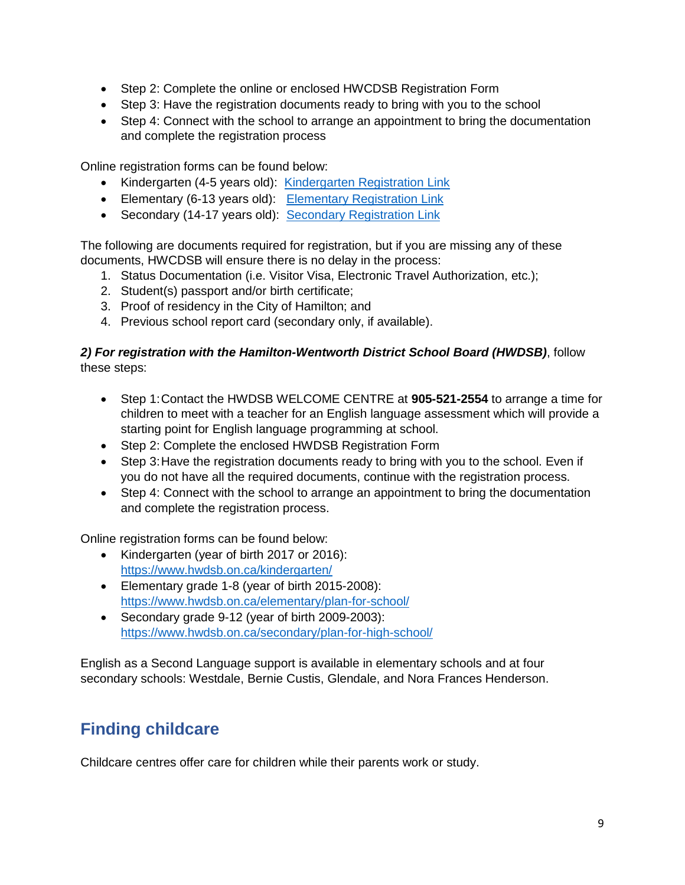- Step 2: Complete the online or enclosed HWCDSB Registration Form
- Step 3: Have the registration documents ready to bring with you to the school
- Step 4: Connect with the school to arrange an appointment to bring the documentation and complete the registration process

Online registration forms can be found below:

- Kindergarten (4-5 years old): [Kindergarten Registration Link](https://www.hwcdsb.ca/kindergartenregistration/)
- Elementary (6-13 years old): [Elementary Registration Link](https://www.hwcdsb.ca/elementaryregistration/)
- Secondary (14-17 years old): [Secondary Registration Link](https://www.hwcdsb.ca/secondaryregistration/)

The following are documents required for registration, but if you are missing any of these documents, HWCDSB will ensure there is no delay in the process:

- 1. Status Documentation (i.e. Visitor Visa, Electronic Travel Authorization, etc.);
- 2. Student(s) passport and/or birth certificate;
- 3. Proof of residency in the City of Hamilton; and
- 4. Previous school report card (secondary only, if available).

#### *2) For registration with the Hamilton-Wentworth District School Board (HWDSB)*, follow these steps:

- Step 1:Contact the HWDSB WELCOME CENTRE at **905-521-2554** to arrange a time for children to meet with a teacher for an English language assessment which will provide a starting point for English language programming at school.
- Step 2: Complete the enclosed HWDSB Registration Form
- Step 3: Have the registration documents ready to bring with you to the school. Even if you do not have all the required documents, continue with the registration process.
- Step 4: Connect with the school to arrange an appointment to bring the documentation and complete the registration process.

Online registration forms can be found below:

- Kindergarten (year of birth 2017 or 2016): <https://www.hwdsb.on.ca/kindergarten/>
- Elementary grade 1-8 (year of birth 2015-2008): <https://www.hwdsb.on.ca/elementary/plan-for-school/>
- Secondary grade 9-12 (year of birth 2009-2003): <https://www.hwdsb.on.ca/secondary/plan-for-high-school/>

English as a Second Language support is available in elementary schools and at four secondary schools: Westdale, Bernie Custis, Glendale, and Nora Frances Henderson.

### <span id="page-11-0"></span>**Finding childcare**

Childcare centres offer care for children while their parents work or study.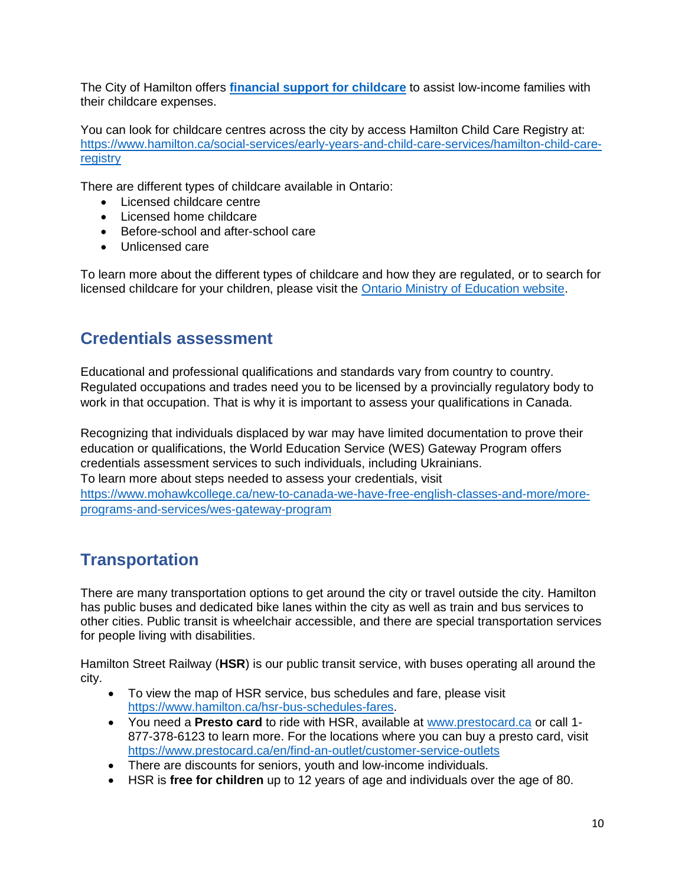The City of Hamilton offers **[financial support for childcare](https://www.hamilton.ca/social-services/early-years-and-child-care-services/financial-support-child-care)** to assist low-income families with their childcare expenses.

You can look for childcare centres across the city by access Hamilton Child Care Registry at: [https://www.hamilton.ca/social-services/early-years-and-child-care-services/hamilton-child-care](https://www.hamilton.ca/social-services/early-years-and-child-care-services/hamilton-child-care-registry)[registry](https://www.hamilton.ca/social-services/early-years-and-child-care-services/hamilton-child-care-registry)

There are different types of childcare available in Ontario:

- Licensed childcare centre
- Licensed home childcare
- Before-school and after-school care
- Unlicensed care

To learn more about the different types of childcare and how they are regulated, or to search for licensed childcare for your children, please visit the [Ontario Ministry of Education website.](https://www.ontario.ca/page/find-and-pay-child-care?_ga=2.140715259.898165424.1619102875-1331603459.1619102872)

### <span id="page-12-0"></span>**Credentials assessment**

Educational and professional qualifications and standards vary from country to country. Regulated occupations and trades need you to be licensed by a provincially regulatory body to work in that occupation. That is why it is important to assess your qualifications in Canada.

Recognizing that individuals displaced by war may have limited documentation to prove their education or qualifications, the World Education Service (WES) Gateway Program offers credentials assessment services to such individuals, including Ukrainians. To learn more about steps needed to assess your credentials, visit [https://www.mohawkcollege.ca/new-to-canada-we-have-free-english-classes-and-more/more](https://www.mohawkcollege.ca/new-to-canada-we-have-free-english-classes-and-more/more-programs-and-services/wes-gateway-program)[programs-and-services/wes-gateway-program](https://www.mohawkcollege.ca/new-to-canada-we-have-free-english-classes-and-more/more-programs-and-services/wes-gateway-program)

### <span id="page-12-1"></span>**Transportation**

There are many transportation options to get around the city or travel outside the city. Hamilton has public buses and dedicated bike lanes within the city as well as train and bus services to other cities. Public transit is wheelchair accessible, and there are special transportation services for people living with disabilities.

Hamilton Street Railway (**HSR**) is our public transit service, with buses operating all around the city.

- To view the map of HSR service, bus schedules and fare, please visit [https://www.hamilton.ca/hsr-bus-schedules-fares.](https://www.hamilton.ca/hsr-bus-schedules-fares)
- You need a **Presto card** to ride with HSR, available at [www.prestocard.ca](http://www.prestocard.ca/) or call 1- 877-378-6123 to learn more. For the locations where you can buy a presto card, visit <https://www.prestocard.ca/en/find-an-outlet/customer-service-outlets>
- There are discounts for seniors, youth and low-income individuals.
- HSR is **free for children** up to 12 years of age and individuals over the age of 80.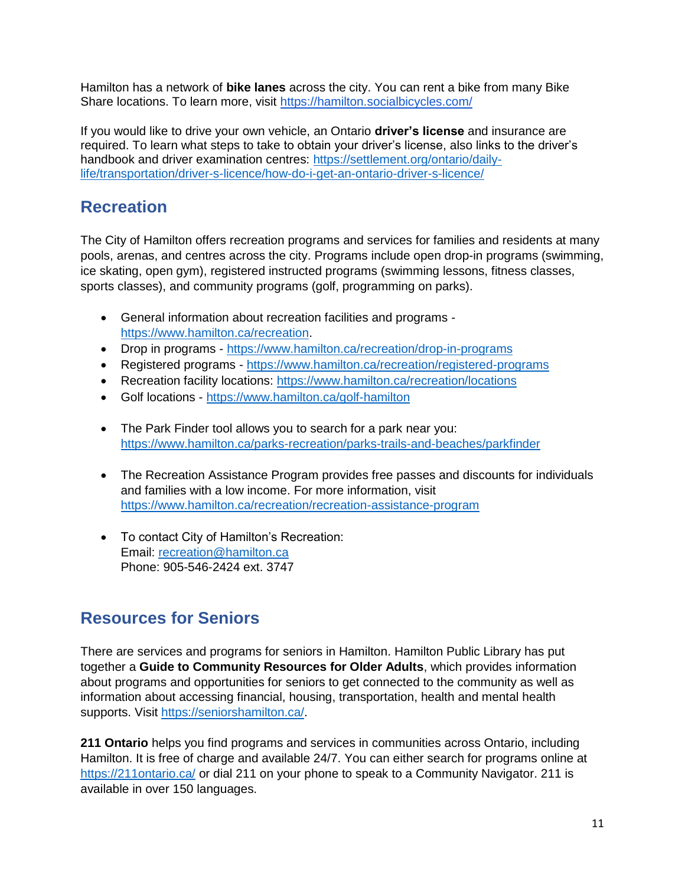Hamilton has a network of **bike lanes** across the city. You can rent a bike from many Bike Share locations. To learn more, visit<https://hamilton.socialbicycles.com/>

If you would like to drive your own vehicle, an Ontario **driver's license** and insurance are required. To learn what steps to take to obtain your driver's license, also links to the driver's handbook and driver examination centres: [https://settlement.org/ontario/daily](https://settlement.org/ontario/daily-life/transportation/driver-s-licence/how-do-i-get-an-ontario-driver-s-licence/)[life/transportation/driver-s-licence/how-do-i-get-an-ontario-driver-s-licence/](https://settlement.org/ontario/daily-life/transportation/driver-s-licence/how-do-i-get-an-ontario-driver-s-licence/)

### <span id="page-13-0"></span>**Recreation**

The City of Hamilton offers recreation programs and services for families and residents at many pools, arenas, and centres across the city. Programs include open drop-in programs (swimming, ice skating, open gym), registered instructed programs (swimming lessons, fitness classes, sports classes), and community programs (golf, programming on parks).

- General information about recreation facilities and programs [https://www.hamilton.ca/recreation.](https://www.hamilton.ca/recreation)
- Drop in programs <https://www.hamilton.ca/recreation/drop-in-programs>
- Registered programs <https://www.hamilton.ca/recreation/registered-programs>
- Recreation facility locations:<https://www.hamilton.ca/recreation/locations>
- Golf locations <https://www.hamilton.ca/golf-hamilton>
- The Park Finder tool allows you to search for a park near you: <https://www.hamilton.ca/parks-recreation/parks-trails-and-beaches/parkfinder>
- The Recreation Assistance Program provides free passes and discounts for individuals and families with a low income. For more information, visit <https://www.hamilton.ca/recreation/recreation-assistance-program>
- To contact City of Hamilton's Recreation: Email: [recreation@hamilton.ca](mailto:recreation@hamilton.ca) Phone: 905-546-2424 ext. 3747

### <span id="page-13-1"></span>**Resources for Seniors**

There are services and programs for seniors in Hamilton. Hamilton Public Library has put together a **Guide to Community Resources for Older Adults**, which provides information about programs and opportunities for seniors to get connected to the community as well as information about accessing financial, housing, transportation, health and mental health supports. Visit [https://seniorshamilton.ca/.](https://seniorshamilton.ca/)

**211 Ontario** helps you find programs and services in communities across Ontario, including Hamilton. It is free of charge and available 24/7. You can either search for programs online at <https://211ontario.ca/> or dial 211 on your phone to speak to a Community Navigator. 211 is available in over 150 languages.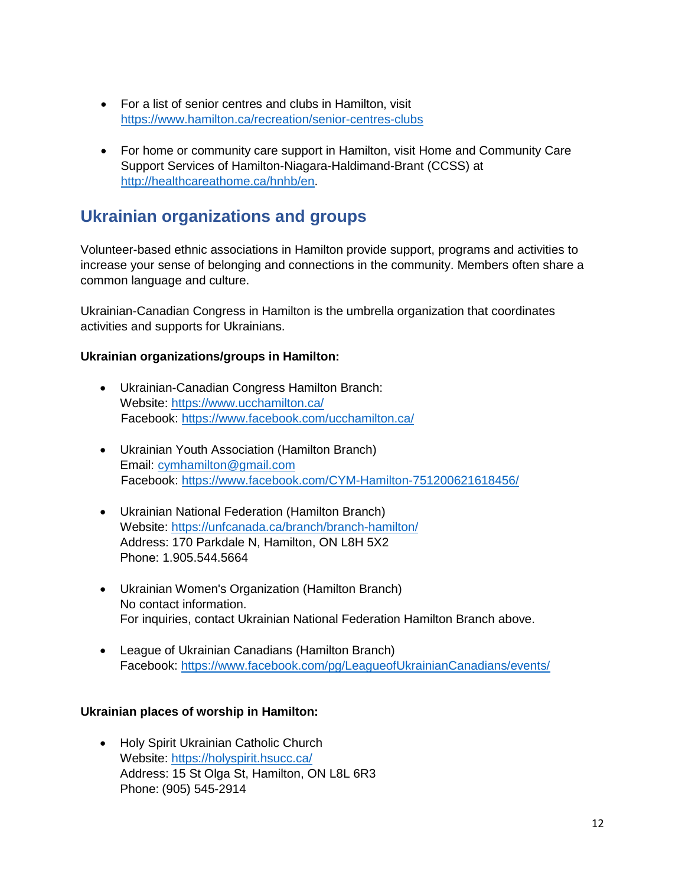- For a list of senior centres and clubs in Hamilton, visit <https://www.hamilton.ca/recreation/senior-centres-clubs>
- For home or community care support in Hamilton, visit Home and Community Care Support Services of Hamilton-Niagara-Haldimand-Brant (CCSS) at [http://healthcareathome.ca/hnhb/en.](http://healthcareathome.ca/hnhb/en)

### <span id="page-14-0"></span>**Ukrainian organizations and groups**

Volunteer-based ethnic associations in Hamilton provide support, programs and activities to increase your sense of belonging and connections in the community. Members often share a common language and culture.

Ukrainian-Canadian Congress in Hamilton is the umbrella organization that coordinates activities and supports for Ukrainians.

#### **Ukrainian organizations/groups in Hamilton:**

- Ukrainian-Canadian Congress Hamilton Branch: Website:<https://www.ucchamilton.ca/> Facebook:<https://www.facebook.com/ucchamilton.ca/>
- Ukrainian Youth Association (Hamilton Branch) Email: [cymhamilton@gmail.com](mailto:cymhamilton@gmail.com) Facebook:<https://www.facebook.com/CYM-Hamilton-751200621618456/>
- Ukrainian National Federation (Hamilton Branch) Website:<https://unfcanada.ca/branch/branch-hamilton/> Address: 170 Parkdale N, Hamilton, ON L8H 5X2 Phone: 1.905.544.5664
- Ukrainian Women's Organization (Hamilton Branch) No contact information. For inquiries, contact Ukrainian National Federation Hamilton Branch above.
- League of Ukrainian Canadians (Hamilton Branch) Facebook:<https://www.facebook.com/pg/LeagueofUkrainianCanadians/events/>

#### **Ukrainian places of worship in Hamilton:**

• Holy Spirit Ukrainian Catholic Church Website:<https://holyspirit.hsucc.ca/> Address: 15 St Olga St, Hamilton, ON L8L 6R3 Phone: (905) 545-2914